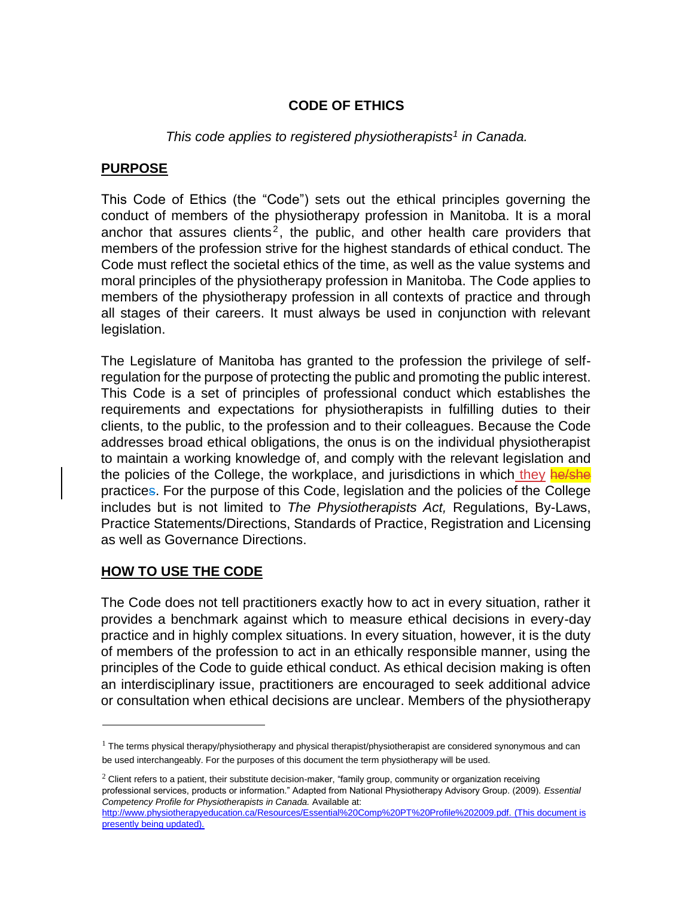## **CODE OF ETHICS**

### *This code applies to registered physiotherapists<sup>1</sup> in Canada.*

#### **PURPOSE**

This Code of Ethics (the "Code") sets out the ethical principles governing the conduct of members of the physiotherapy profession in Manitoba. It is a moral anchor that assures clients<sup>2</sup>, the public, and other health care providers that members of the profession strive for the highest standards of ethical conduct. The Code must reflect the societal ethics of the time, as well as the value systems and moral principles of the physiotherapy profession in Manitoba. The Code applies to members of the physiotherapy profession in all contexts of practice and through all stages of their careers. It must always be used in conjunction with relevant legislation.

The Legislature of Manitoba has granted to the profession the privilege of selfregulation for the purpose of protecting the public and promoting the public interest. This Code is a set of principles of professional conduct which establishes the requirements and expectations for physiotherapists in fulfilling duties to their clients, to the public, to the profession and to their colleagues. Because the Code addresses broad ethical obligations, the onus is on the individual physiotherapist to maintain a working knowledge of, and comply with the relevant legislation and the policies of the College, the workplace, and jurisdictions in which they he/she practices. For the purpose of this Code, legislation and the policies of the College includes but is not limited to *The Physiotherapists Act,* Regulations, By-Laws, Practice Statements/Directions, Standards of Practice, Registration and Licensing as well as Governance Directions.

### **HOW TO USE THE CODE**

The Code does not tell practitioners exactly how to act in every situation, rather it provides a benchmark against which to measure ethical decisions in every-day practice and in highly complex situations. In every situation, however, it is the duty of members of the profession to act in an ethically responsible manner, using the principles of the Code to guide ethical conduct. As ethical decision making is often an interdisciplinary issue, practitioners are encouraged to seek additional advice or consultation when ethical decisions are unclear. Members of the physiotherapy

 $1$  The terms physical therapy/physiotherapy and physical therapist/physiotherapist are considered synonymous and can be used interchangeably. For the purposes of this document the term physiotherapy will be used.

 $2$  Client refers to a patient, their substitute decision-maker, "family group, community or organization receiving professional services, products or information." Adapted from National Physiotherapy Advisory Group. (2009). *Essential Competency Profile for Physiotherapists in Canada.* Available at:

[http://www.physiotherapyeducation.ca/Resources/Essential%20Comp%20PT%20Profile%202009.pdf.](http://www.physiotherapyeducation.ca/Resources/Essential%20Comp%20PT%20Profile%202009.pdf) (This document is presently being updated).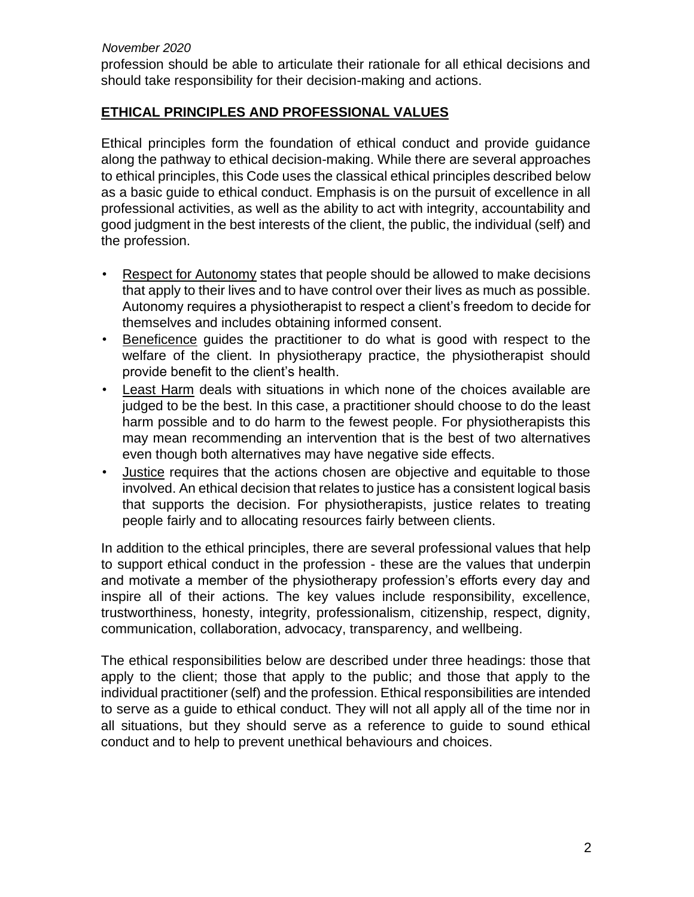#### *November 2020*

profession should be able to articulate their rationale for all ethical decisions and should take responsibility for their decision-making and actions.

### **ETHICAL PRINCIPLES AND PROFESSIONAL VALUES**

Ethical principles form the foundation of ethical conduct and provide guidance along the pathway to ethical decision-making. While there are several approaches to ethical principles, this Code uses the classical ethical principles described below as a basic guide to ethical conduct. Emphasis is on the pursuit of excellence in all professional activities, as well as the ability to act with integrity, accountability and good judgment in the best interests of the client, the public, the individual (self) and the profession.

- Respect for Autonomy states that people should be allowed to make decisions that apply to their lives and to have control over their lives as much as possible. Autonomy requires a physiotherapist to respect a client's freedom to decide for themselves and includes obtaining informed consent.
- Beneficence guides the practitioner to do what is good with respect to the welfare of the client. In physiotherapy practice, the physiotherapist should provide benefit to the client's health.
- Least Harm deals with situations in which none of the choices available are judged to be the best. In this case, a practitioner should choose to do the least harm possible and to do harm to the fewest people. For physiotherapists this may mean recommending an intervention that is the best of two alternatives even though both alternatives may have negative side effects.
- Justice requires that the actions chosen are objective and equitable to those involved. An ethical decision that relates to justice has a consistent logical basis that supports the decision. For physiotherapists, justice relates to treating people fairly and to allocating resources fairly between clients.

In addition to the ethical principles, there are several professional values that help to support ethical conduct in the profession - these are the values that underpin and motivate a member of the physiotherapy profession's efforts every day and inspire all of their actions. The key values include responsibility, excellence, trustworthiness, honesty, integrity, professionalism, citizenship, respect, dignity, communication, collaboration, advocacy, transparency, and wellbeing.

The ethical responsibilities below are described under three headings: those that apply to the client; those that apply to the public; and those that apply to the individual practitioner (self) and the profession. Ethical responsibilities are intended to serve as a guide to ethical conduct. They will not all apply all of the time nor in all situations, but they should serve as a reference to guide to sound ethical conduct and to help to prevent unethical behaviours and choices.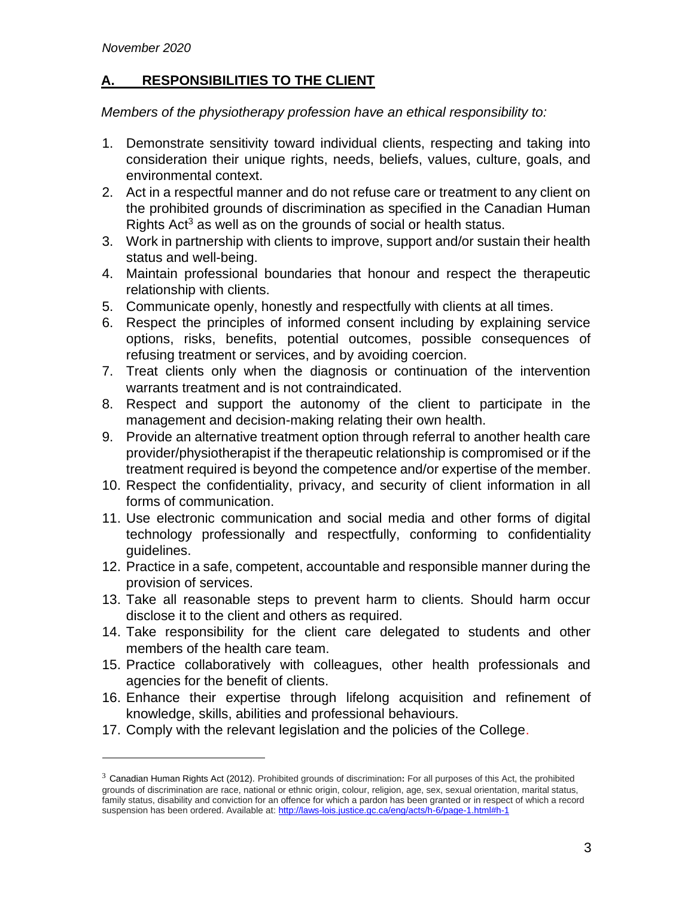# **A. RESPONSIBILITIES TO THE CLIENT**

*Members of the physiotherapy profession have an ethical responsibility to:* 

- 1. Demonstrate sensitivity toward individual clients, respecting and taking into consideration their unique rights, needs, beliefs, values, culture, goals, and environmental context.
- 2. Act in a respectful manner and do not refuse care or treatment to any client on the prohibited grounds of discrimination as specified in the Canadian Human Rights Act<sup>3</sup> as well as on the grounds of social or health status.
- 3. Work in partnership with clients to improve, support and/or sustain their health status and well-being.
- 4. Maintain professional boundaries that honour and respect the therapeutic relationship with clients.
- 5. Communicate openly, honestly and respectfully with clients at all times.
- 6. Respect the principles of informed consent including by explaining service options, risks, benefits, potential outcomes, possible consequences of refusing treatment or services, and by avoiding coercion.
- 7. Treat clients only when the diagnosis or continuation of the intervention warrants treatment and is not contraindicated.
- 8. Respect and support the autonomy of the client to participate in the management and decision-making relating their own health.
- 9. Provide an alternative treatment option through referral to another health care provider/physiotherapist if the therapeutic relationship is compromised or if the treatment required is beyond the competence and/or expertise of the member.
- 10. Respect the confidentiality, privacy, and security of client information in all forms of communication.
- 11. Use electronic communication and social media and other forms of digital technology professionally and respectfully, conforming to confidentiality guidelines.
- 12. Practice in a safe, competent, accountable and responsible manner during the provision of services.
- 13. Take all reasonable steps to prevent harm to clients. Should harm occur disclose it to the client and others as required.
- 14. Take responsibility for the client care delegated to students and other members of the health care team.
- 15. Practice collaboratively with colleagues, other health professionals and agencies for the benefit of clients.
- 16. Enhance their expertise through lifelong acquisition and refinement of knowledge, skills, abilities and professional behaviours.
- 17. Comply with the relevant legislation and the policies of the College.

<sup>3</sup> Canadian Human Rights Act (2012). Prohibited grounds of discrimination**:** For all purposes of this Act, the prohibited grounds of discrimination are race, national or ethnic origin, colour, religion, age, sex, sexual orientation, marital status, family status, disability and conviction for an offence for which a pardon has been granted or in respect of which a record suspension has been ordered. Available a[t: http://laws-lois.justice.gc.ca/eng/acts/h-6/page-1.html#h-1](http://laws-lois.justice.gc.ca/eng/acts/h-6/page-1.html#h-1)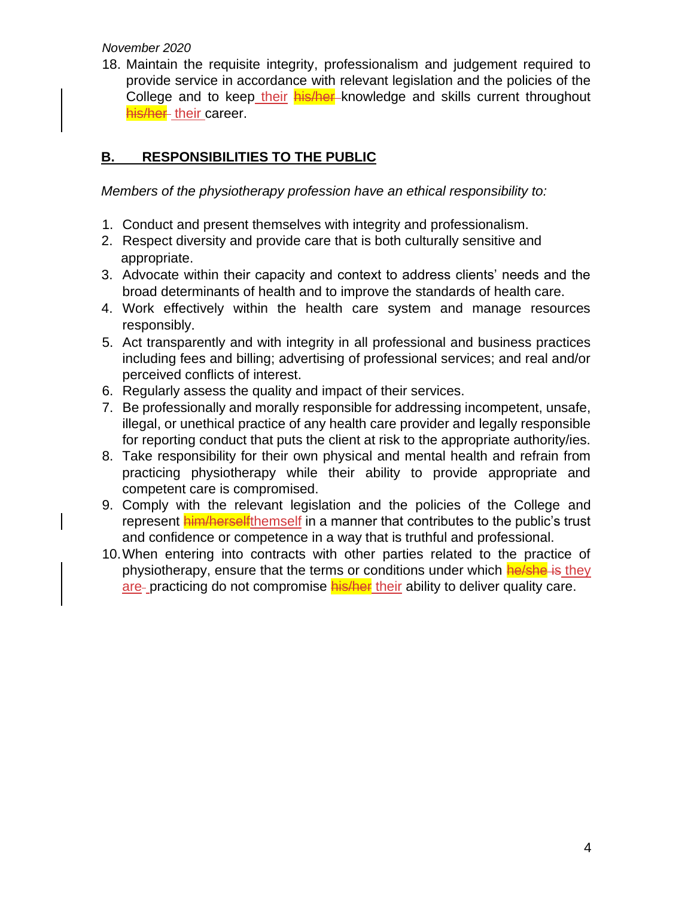*November 2020* 

18. Maintain the requisite integrity, professionalism and judgement required to provide service in accordance with relevant legislation and the policies of the College and to keep their **his/her** knowledge and skills current throughout his/her their career.

# **B. RESPONSIBILITIES TO THE PUBLIC**

*Members of the physiotherapy profession have an ethical responsibility to:* 

- 1. Conduct and present themselves with integrity and professionalism.
- 2. Respect diversity and provide care that is both culturally sensitive and appropriate.
- 3. Advocate within their capacity and context to address clients' needs and the broad determinants of health and to improve the standards of health care.
- 4. Work effectively within the health care system and manage resources responsibly.
- 5. Act transparently and with integrity in all professional and business practices including fees and billing; advertising of professional services; and real and/or perceived conflicts of interest.
- 6. Regularly assess the quality and impact of their services.
- 7. Be professionally and morally responsible for addressing incompetent, unsafe, illegal, or unethical practice of any health care provider and legally responsible for reporting conduct that puts the client at risk to the appropriate authority/ies.
- 8. Take responsibility for their own physical and mental health and refrain from practicing physiotherapy while their ability to provide appropriate and competent care is compromised.
- 9. Comply with the relevant legislation and the policies of the College and represent **him/herself**themself in a manner that contributes to the public's trust and confidence or competence in a way that is truthful and professional.
- 10.When entering into contracts with other parties related to the practice of physiotherapy, ensure that the terms or conditions under which he/she is they are- practicing do not compromise his/her their ability to deliver quality care.